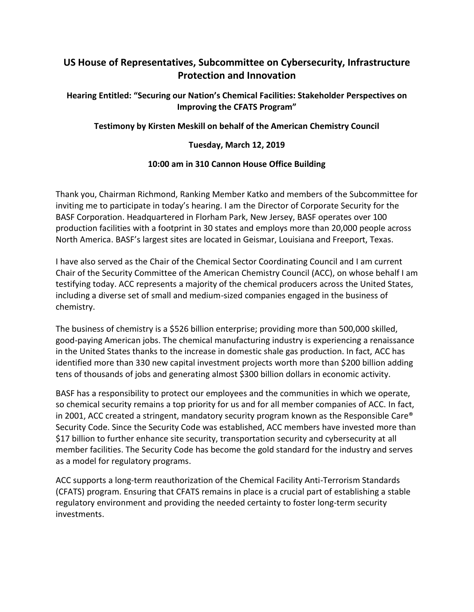# **US House of Representatives, Subcommittee on Cybersecurity, Infrastructure Protection and Innovation**

# **Hearing Entitled: "Securing our Nation's Chemical Facilities: Stakeholder Perspectives on Improving the CFATS Program"**

## **Testimony by Kirsten Meskill on behalf of the American Chemistry Council**

#### **Tuesday, March 12, 2019**

## **10:00 am in 310 Cannon House Office Building**

Thank you, Chairman Richmond, Ranking Member Katko and members of the Subcommittee for inviting me to participate in today's hearing. I am the Director of Corporate Security for the BASF Corporation. Headquartered in Florham Park, New Jersey, BASF operates over 100 production facilities with a footprint in 30 states and employs more than 20,000 people across North America. BASF's largest sites are located in Geismar, Louisiana and Freeport, Texas.

I have also served as the Chair of the Chemical Sector Coordinating Council and I am current Chair of the Security Committee of the American Chemistry Council (ACC), on whose behalf I am testifying today. ACC represents a majority of the chemical producers across the United States, including a diverse set of small and medium-sized companies engaged in the business of chemistry.

The business of chemistry is a \$526 billion enterprise; providing more than 500,000 skilled, good-paying American jobs. The chemical manufacturing industry is experiencing a renaissance in the United States thanks to the increase in domestic shale gas production. In fact, ACC has identified more than 330 new capital investment projects worth more than \$200 billion adding tens of thousands of jobs and generating almost \$300 billion dollars in economic activity.

BASF has a responsibility to protect our employees and the communities in which we operate, so chemical security remains a top priority for us and for all member companies of ACC. In fact, in 2001, ACC created a stringent, mandatory security program known as the Responsible Care® Security Code. Since the Security Code was established, ACC members have invested more than \$17 billion to further enhance site security, transportation security and cybersecurity at all member facilities. The Security Code has become the gold standard for the industry and serves as a model for regulatory programs.

ACC supports a long-term reauthorization of the Chemical Facility Anti-Terrorism Standards (CFATS) program. Ensuring that CFATS remains in place is a crucial part of establishing a stable regulatory environment and providing the needed certainty to foster long-term security investments.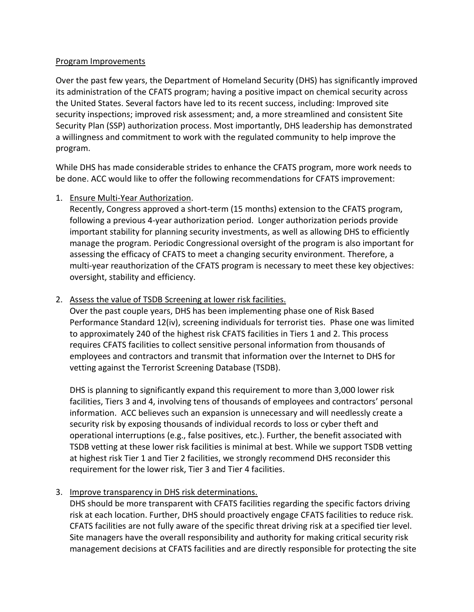#### Program Improvements

Over the past few years, the Department of Homeland Security (DHS) has significantly improved its administration of the CFATS program; having a positive impact on chemical security across the United States. Several factors have led to its recent success, including: Improved site security inspections; improved risk assessment; and, a more streamlined and consistent Site Security Plan (SSP) authorization process. Most importantly, DHS leadership has demonstrated a willingness and commitment to work with the regulated community to help improve the program.

While DHS has made considerable strides to enhance the CFATS program, more work needs to be done. ACC would like to offer the following recommendations for CFATS improvement:

## 1. Ensure Multi-Year Authorization.

Recently, Congress approved a short-term (15 months) extension to the CFATS program, following a previous 4-year authorization period. Longer authorization periods provide important stability for planning security investments, as well as allowing DHS to efficiently manage the program. Periodic Congressional oversight of the program is also important for assessing the efficacy of CFATS to meet a changing security environment. Therefore, a multi-year reauthorization of the CFATS program is necessary to meet these key objectives: oversight, stability and efficiency.

# 2. Assess the value of TSDB Screening at lower risk facilities.

Over the past couple years, DHS has been implementing phase one of Risk Based Performance Standard 12(iv), screening individuals for terrorist ties. Phase one was limited to approximately 240 of the highest risk CFATS facilities in Tiers 1 and 2. This process requires CFATS facilities to collect sensitive personal information from thousands of employees and contractors and transmit that information over the Internet to DHS for vetting against the Terrorist Screening Database (TSDB).

DHS is planning to significantly expand this requirement to more than 3,000 lower risk facilities, Tiers 3 and 4, involving tens of thousands of employees and contractors' personal information. ACC believes such an expansion is unnecessary and will needlessly create a security risk by exposing thousands of individual records to loss or cyber theft and operational interruptions (e.g., false positives, etc.). Further, the benefit associated with TSDB vetting at these lower risk facilities is minimal at best. While we support TSDB vetting at highest risk Tier 1 and Tier 2 facilities, we strongly recommend DHS reconsider this requirement for the lower risk, Tier 3 and Tier 4 facilities.

# 3. Improve transparency in DHS risk determinations.

DHS should be more transparent with CFATS facilities regarding the specific factors driving risk at each location. Further, DHS should proactively engage CFATS facilities to reduce risk. CFATS facilities are not fully aware of the specific threat driving risk at a specified tier level. Site managers have the overall responsibility and authority for making critical security risk management decisions at CFATS facilities and are directly responsible for protecting the site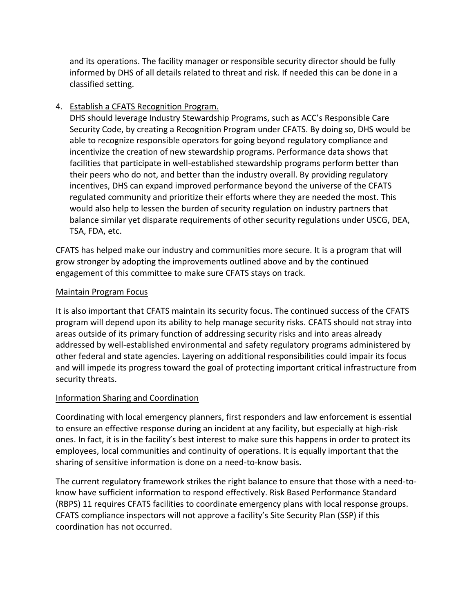and its operations. The facility manager or responsible security director should be fully informed by DHS of all details related to threat and risk. If needed this can be done in a classified setting.

# 4. Establish a CFATS Recognition Program.

DHS should leverage Industry Stewardship Programs, such as ACC's Responsible Care Security Code, by creating a Recognition Program under CFATS. By doing so, DHS would be able to recognize responsible operators for going beyond regulatory compliance and incentivize the creation of new stewardship programs. Performance data shows that facilities that participate in well-established stewardship programs perform better than their peers who do not, and better than the industry overall. By providing regulatory incentives, DHS can expand improved performance beyond the universe of the CFATS regulated community and prioritize their efforts where they are needed the most. This would also help to lessen the burden of security regulation on industry partners that balance similar yet disparate requirements of other security regulations under USCG, DEA, TSA, FDA, etc.

CFATS has helped make our industry and communities more secure. It is a program that will grow stronger by adopting the improvements outlined above and by the continued engagement of this committee to make sure CFATS stays on track.

## Maintain Program Focus

It is also important that CFATS maintain its security focus. The continued success of the CFATS program will depend upon its ability to help manage security risks. CFATS should not stray into areas outside of its primary function of addressing security risks and into areas already addressed by well-established environmental and safety regulatory programs administered by other federal and state agencies. Layering on additional responsibilities could impair its focus and will impede its progress toward the goal of protecting important critical infrastructure from security threats.

# Information Sharing and Coordination

Coordinating with local emergency planners, first responders and law enforcement is essential to ensure an effective response during an incident at any facility, but especially at high-risk ones. In fact, it is in the facility's best interest to make sure this happens in order to protect its employees, local communities and continuity of operations. It is equally important that the sharing of sensitive information is done on a need-to-know basis.

The current regulatory framework strikes the right balance to ensure that those with a need-toknow have sufficient information to respond effectively. Risk Based Performance Standard (RBPS) 11 requires CFATS facilities to coordinate emergency plans with local response groups. CFATS compliance inspectors will not approve a facility's Site Security Plan (SSP) if this coordination has not occurred.